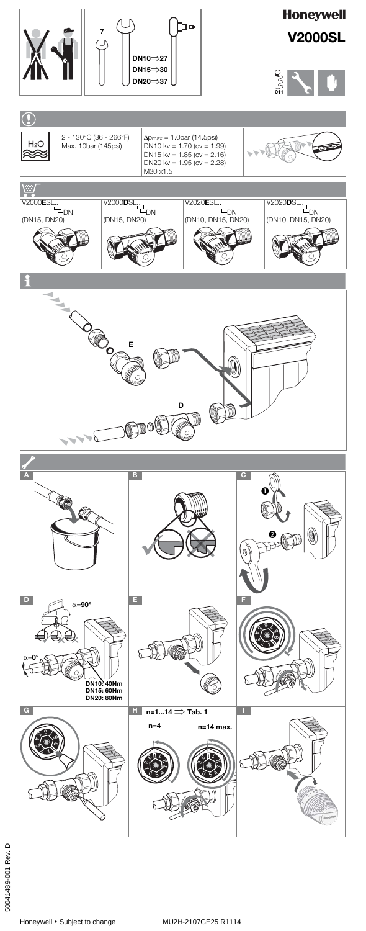Honeywell • Subject to change MU2H-2107GE25 R1114

## **Honeywell V2000SL**













## $\overline{C}$